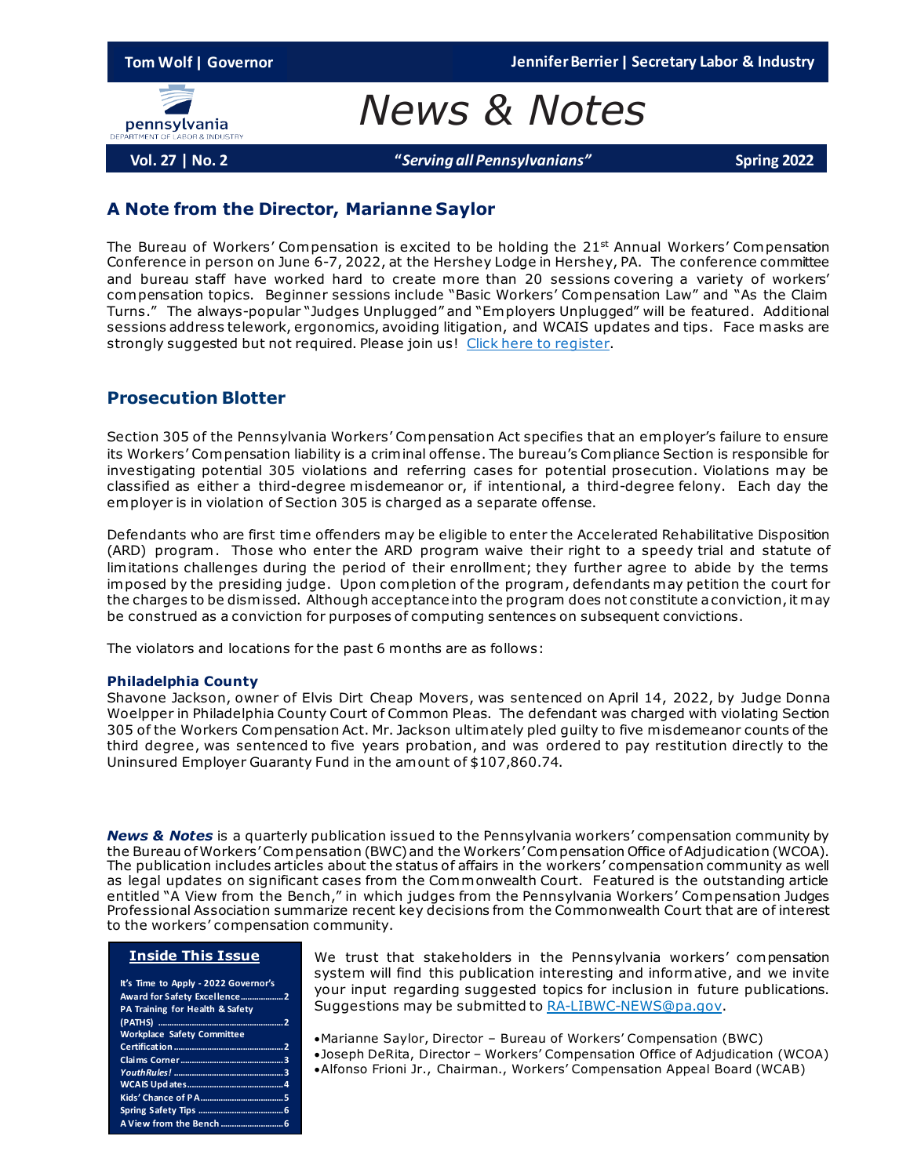**Tom Wolf | Governor Jennifer Berrier | Secretary Labor & Industry**



*News & Notes*

**Vol. 27 | No. 2 "***Serving all Pennsylvanians"* **Spring 2022**

### **A Note from the Director, Marianne Saylor**

The Bureau of Workers' Compensation is excited to be holding the  $21<sup>st</sup>$  Annual Workers' Compensation Conference in person on June 6-7, 2022, at the Hershey Lodge in Hershey, PA. The conference committee and bureau staff have worked hard to create more than 20 sessions covering a variety of workers' compensation topics. Beginner sessions include "Basic Workers' Compensation Law" and "As the Claim Turns." The always-popular "Judges Unplugged" and "Employers Unplugged" will be featured. Additional sessions address telework, ergonomics, avoiding litigation, and WCAIS updates and tips. Face masks are strongly suggested but not required. Please join us! [Click here to register](https://web.cvent.com/event/85a36c9a-83df-453d-a4e8-39b62c5b6161/summary).

### **Prosecution Blotter**

Section 305 of the Pennsylvania Workers' Compensation Act specifies that an employer's failure to ensure its Workers' Compensation liability is a criminal offense. The bureau's Compliance Section is responsible for investigating potential 305 violations and referring cases for potential prosecution. Violations may be classified as either a third-degree misdemeanor or, if intentional, a third-degree felony. Each day the employer is in violation of Section 305 is charged as a separate offense.

Defendants who are first time offenders may be eligible to enter the Accelerated Rehabilitative Disposition (ARD) program. Those who enter the ARD program waive their right to a speedy trial and statute of limitations challenges during the period of their enrollment; they further agree to abide by the terms imposed by the presiding judge. Upon completion of the program , defendants may petition the court for the charges to be dismissed. Although acceptance into the program does not constitute a conviction, it may be construed as a conviction for purposes of computing sentences on subsequent convictions.

The violators and locations for the past 6 months are as follows:

### **Philadelphia County**

Shavone Jackson, owner of Elvis Dirt Cheap Movers, was sentenced on April 14, 2022, by Judge Donna Woelpper in Philadelphia County Court of Common Pleas. The defendant was charged with violating Section 305 of the Workers Compensation Act. Mr. Jackson ultimately pled guilty to five misdemeanor counts of the third degree, was sentenced to five years probation, and was ordered to pay restitution directly to the Uninsured Employer Guaranty Fund in the amount of \$107,860.74.

*News & Notes* is a quarterly publication issued to the Pennsylvania workers' compensation community by the Bureau of Workers' Compensation (BWC) and the Workers' Compensation Office of Adjudication (WCOA). The publication includes articles about the status of affairs in the workers' compensation community as well as legal updates on significant cases from the Commonwealth Court. Featured is the outstanding article entitled "A View from the Bench," in which judges from the Pennsylvania Workers' Compensation Judges Professional Association summarize recent key decisions from the Commonwealth Court that are of interest to the workers' compensation community.

#### **Inside This Issue**

| It's Time to Apply - 2022 Governor's |
|--------------------------------------|
| Award for Safety Excellence2         |
| PA Training for Health & Safety      |
|                                      |
| <b>Workplace Safety Committee</b>    |
|                                      |
|                                      |
|                                      |
|                                      |
|                                      |
|                                      |
|                                      |

We trust that stakeholders in the Pennsylvania workers' compensation system will find this publication interesting and informative, and we invite your input regarding suggested topics for inclusion in future publications. Suggestions may be submitted t[o RA-LIBWC-NEWS@pa.gov.](mailto:RA-LIBWC-NEWS@pa.gov)

- •Marianne Saylor, Director Bureau of Workers' Compensation (BWC)
- •Joseph DeRita, Director Workers' Compensation Office of Adjudication (WCOA)
- •Alfonso Frioni Jr., Chairman., Workers' Compensation Appeal Board (WCAB)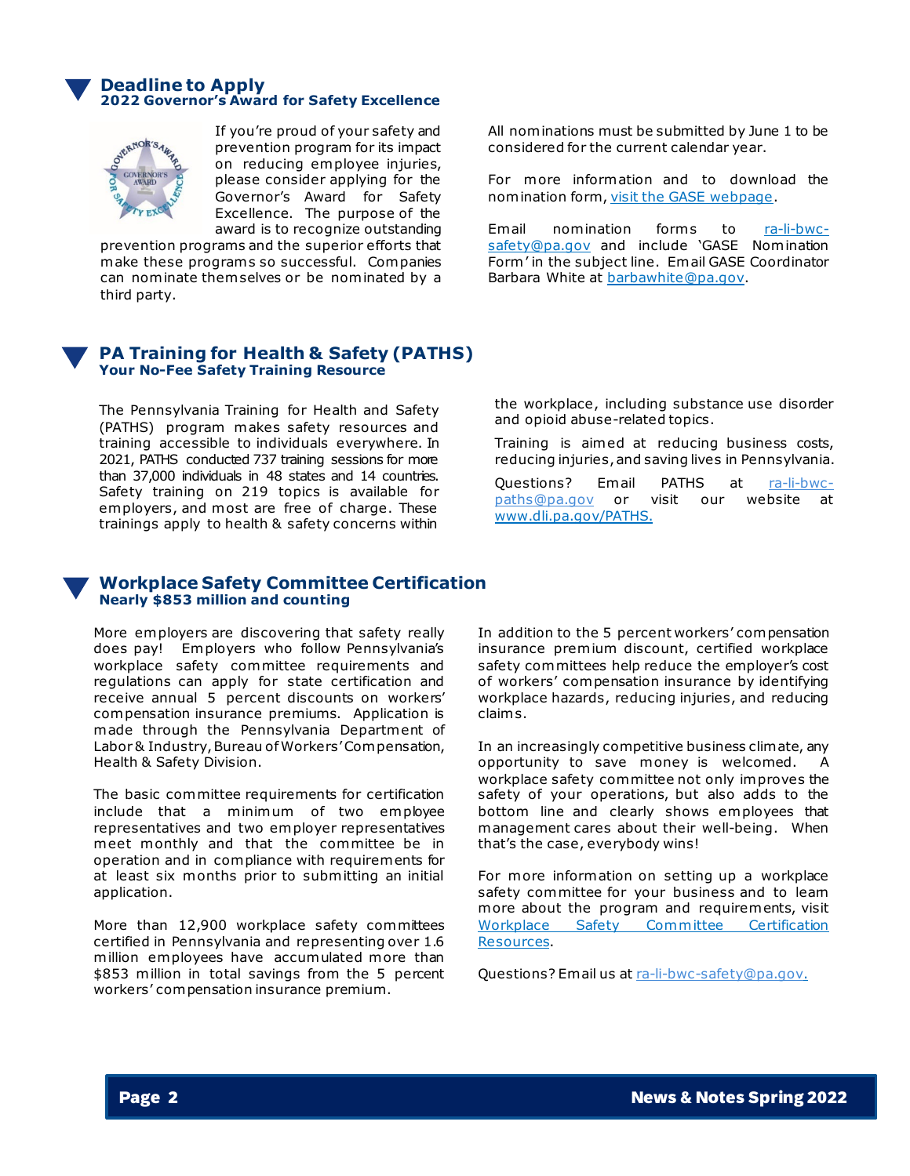### **Deadline to Apply 2022 Governor's Award for Safety Excellence**



If you're proud of your safety and prevention program for its impact on reducing employee injuries, please consider applying for the Governor's Award for Safety Excellence. The purpose of the award is to recognize outstanding

prevention programs and the superior efforts that make these programs so successful. Companies can nominate them selves or be nominated by a third party.

### All nominations must be submitted by June 1 to be considered for the current calendar year.

For more information and to download the nomination form, visit [the GASE webpage](https://www.dli.pa.gov/Businesses/Compensation/WC/safety/gase/Pages/default.aspx).

Email nomination forms to [ra-li-bwc](mailto:ra-li-bwc-safety@pa.gov)[safety@pa.gov](mailto:ra-li-bwc-safety@pa.gov) and include 'GASE Nomination Form' in the subject line. Email GASE Coordinator Barbara White at [barbawhite@pa.gov](mailto:barbawhite@pa.gov).

### **PA Training for Health & Safety (PATHS) Your No-Fee Safety Training Resource**

The Pennsylvania Training for Health and Safety (PATHS) program makes safety resources and training accessible to individuals everywhere. In 2021, PATHS conducted 737 training sessions for more than 37,000 individuals in 48 states and 14 countries. Safety training on 219 topics is available for employers, and most are free of charge. These trainings apply to health & safety concerns within

the workplace, including substance use disorder and opioid abuse-related topics.

Training is aimed at reducing business costs, reducing injuries, and saving lives in Pennsylvania.

Questions? Email PATHS at ra-li-bwc-<br>paths@pa.gov or visit our website at or visit our website at [www.dli.pa.gov/PATHS.](http://www.dli.pa.gov/PATHS)

### **Workplace Safety Committee Certification Nearly \$853 million and counting**

More employers are discovering that safety really does pay! Employers who follow Pennsylvania's workplace safety committee requirements and regulations can apply for state certification and receive annual 5 percent discounts on workers' compensation insurance premiums. Application is made through the Pennsylvania Department of Labor & Industry, Bureau of Workers' Compensation, Health & Safety Division.

The basic committee requirements for certification include that a minimum of two employee representatives and two employer representatives meet monthly and that the committee be in operation and in compliance with requirements for at least six months prior to submitting an initial application.

More than 12,900 workplace safety committees certified in Pennsylvania and representing over 1.6 million employees have accumulated more than \$853 million in total savings from the 5 percent workers' compensation insurance premium.

In addition to the 5 percent workers' compensation insurance premium discount, certified workplace safety committees help reduce the employer's cost of workers' compensation insurance by identifying workplace hazards, reducing injuries, and reducing claim s.

In an increasingly competitive business climate, any opportunity to save money is welcomed. A workplace safety committee not only improves the safety of your operations, but also adds to the bottom line and clearly shows employees that management cares about their well-being. When that's the case, everybody wins!

For more information on setting up a workplace safety committee for your business and to leam more about the program and requirements, visit [Workplace Safety Committee Certification](https://www.dli.pa.gov/Businesses/Compensation/WC/safety/committee/Pages/default.aspx)  [Resources.](https://www.dli.pa.gov/Businesses/Compensation/WC/safety/committee/Pages/default.aspx)

Questions? Email us at [ra-li-bwc-safety@pa.gov.](mailto:ra-li-bwc-safety@pa.gov)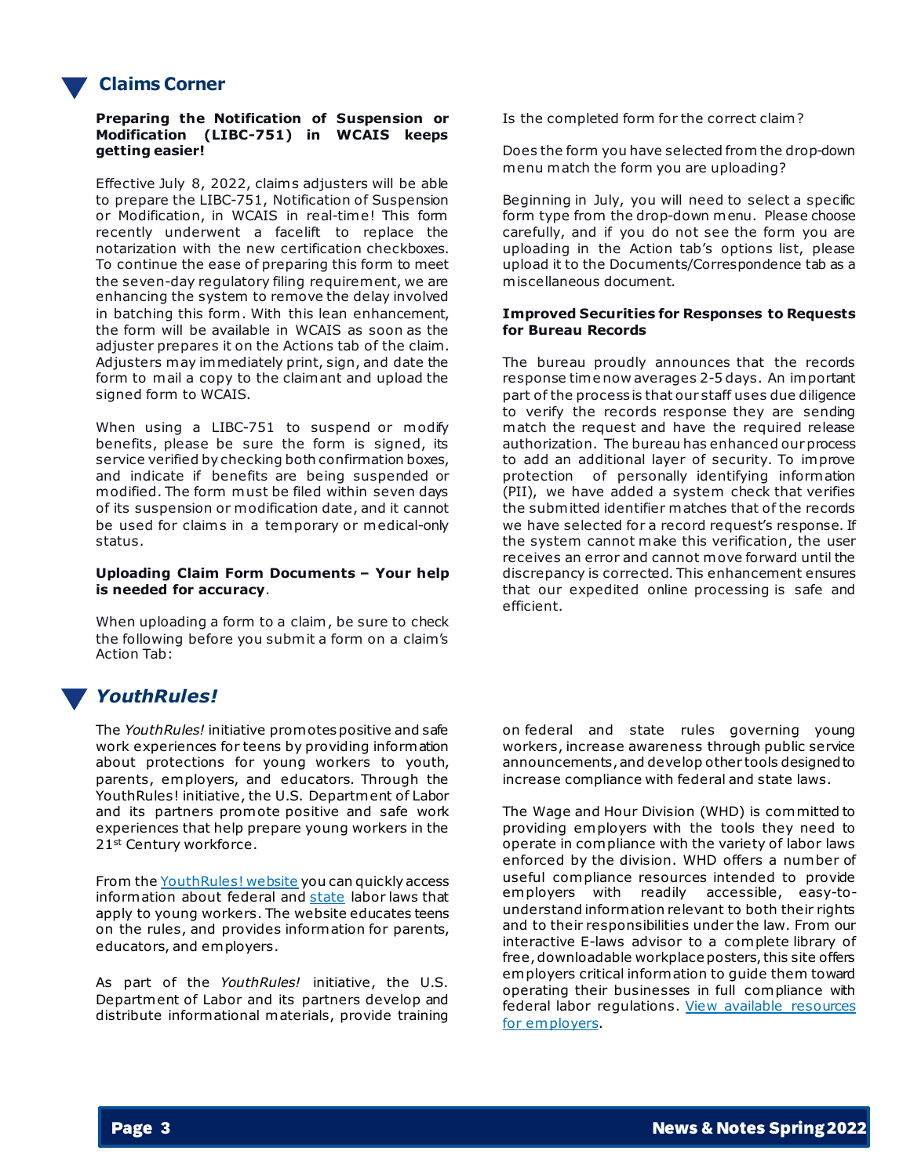# **Claims Corner**

### **Preparing the Notification of Suspension or Modification (LIBC-751) in WCAIS keeps getting easier!**

Effective July 8, 2022, claim s adjusters will be able to prepare the LIBC-751, Notification of Suspension or Modification, in WCAIS in real-time! This form recently underwent a facelift to replace the notarization with the new certification checkboxes. To continue the ease of preparing this form to meet the seven-day regulatory filing requirement, we are enhancing the system to remove the delay involved in batching this form . With this lean enhancement, the form will be available in WCAIS as soon as the adjuster prepares it on the Actions tab of the claim. Adjusters may immediately print, sign, and date the form to mail a copy to the claimant and upload the signed form to WCAIS.

When using a LIBC-751 to suspend or modify benefits, please be sure the form is signed, its service verified by checking both confirmation boxes, and indicate if benefits are being suspended or modified. The form must be filed within seven days of its suspension or modification date, and it cannot be used for claims in a temporary or medical-only status.

#### **Uploading Claim Form Documents – Your help is needed for accuracy**.

When uploading a form to a claim , be sure to check the following before you submit a form on a claim's Action Tab:

# *YouthRules!*

The *YouthRules!* initiative promotes positive and safe work experiences for teens by providing information about protections for young workers to youth, parents, employers, and educators. Through the YouthRules! initiative, the U.S. Department of Labor and its partners promote positive and safe work experiences that help prepare young workers in the 21st Century workforce.

From the [YouthRules! website](https://www.dol.gov/agencies/whd/youthrules) you can quickly access information about federal and [state](https://www.dol.gov/agencies/whd/state) labor laws that apply to young workers. The website educates teens on the rules, and provides information for parents, educators, and employers.

As part of the *YouthRules!* initiative, the U.S. Department of Labor and its partners develop and distribute informational materials, provide training Is the completed form for the correct claim ?

Does the form you have selected from the drop-down menu match the form you are uploading?

Beginning in July, you will need to select a specific form type from the drop-down menu. Please choose carefully, and if you do not see the form you are uploading in the Action tab's options list, please upload it to the Documents/Correspondence tab as a miscellaneous document.

### **Improved Securities for Responses to Requests for Bureau Records**

The bureau proudly announces that the records response time now averages 2-5 days. An important part of the process is that our staff uses due diligence to verify the records response they are sending match the request and have the required release authorization. The bureau has enhanced our process to add an additional layer of security. To improve protection of personally identifying information (PII), we have added a system check that verifies the submitted identifier matches that of the records we have selected for a record request's response. If the system cannot make this verification, the user receives an error and cannot move forward until the discrepancy is corrected. This enhancement ensures that our expedited online processing is safe and efficient.

on federal and state rules governing young workers, increase awareness through public service announcements, and develop other tools designed to increase compliance with federal and state laws.

The Wage and Hour Division (WHD) is committed to providing employers with the tools they need to operate in compliance with the variety of labor laws enforced by the division. WHD offers a number of useful compliance resources intended to provide employers with readily accessible, easy-tounderstand information relevant to both their rights and to their responsibilities under the law. From our interactive E-laws advisor to a complete library of free, downloadable workplace posters, this site offers employers critical information to guide them toward operating their businesses in full compliance with federal labor regulations. [View available resources](https://www.dol.gov/agencies/whd/employers) for employers.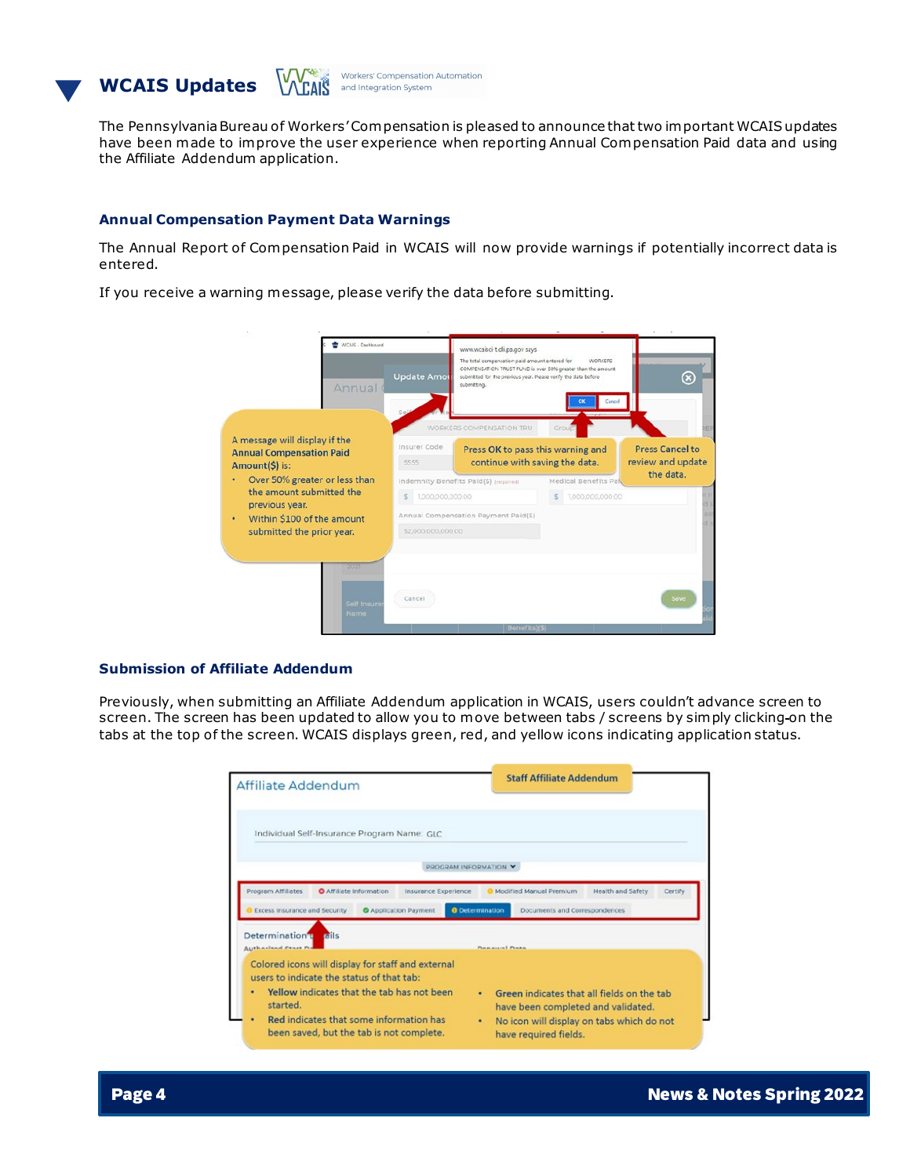



The Pennsylvania Bureau of Workers' Compensation is pleased to announce that two important WCAIS updates have been made to improve the user experience when reporting Annual Compensation Paid data and using the Affiliate Addendum application.

### **Annual Compensation Payment Data Warnings**

The Annual Report of Compensation Paid in WCAIS will now provide warnings if potentially incorrect data is entered.

If you receive a warning message, please verify the data before submitting.

| WCAIS - Dashboard<br>Annual                                                        | Update Amor            | www.wcaisci-t.dli.pa.gov says<br>The total compensation paid amount entered for<br>COMPENSATION TRUST FUND is over 50% greater than the amount<br>submitted for the previous year. Please verify the data before<br>submitting. | <b>WORKERS</b><br>Cancel                      | $^\infty$                                   |
|------------------------------------------------------------------------------------|------------------------|---------------------------------------------------------------------------------------------------------------------------------------------------------------------------------------------------------------------------------|-----------------------------------------------|---------------------------------------------|
|                                                                                    |                        | WORKERS COMPENSATION TRU                                                                                                                                                                                                        | Group                                         |                                             |
| A message will display if the<br><b>Annual Compensation Paid</b><br>Amount(\$) is: | Insurer Code<br>5555   | Press OK to pass this warning and<br>continue with saving the data.                                                                                                                                                             |                                               | <b>Press Cancel to</b><br>review and update |
| Over 50% greater or less than<br>the amount submitted the<br>previous year.        | 1,000,000,000.00<br>s. | Indemnity Benefits Paid(\$) (required)                                                                                                                                                                                          | Medical Benefits Pai<br>1,000,000,000.00<br>s | the data.                                   |
| Within \$100 of the amount<br>submitted the prior year.                            | \$2,000,000,000,00     | Annual Compensation Payment Paid(\$)                                                                                                                                                                                            |                                               |                                             |
| 202                                                                                |                        |                                                                                                                                                                                                                                 |                                               |                                             |
| Self Insure<br><b>Name</b>                                                         | Cancel                 |                                                                                                                                                                                                                                 |                                               | <b>Save</b>                                 |
|                                                                                    |                        | Bonefits)(\$)                                                                                                                                                                                                                   |                                               |                                             |

### **Submission of Affiliate Addendum**

Previously, when submitting an Affiliate Addendum application in WCAIS, users couldn't advance screen to screen. The screen has been updated to allow you to move between tabs / screens by simply clicking on the tabs at the top of the screen. WCAIS displays green, red, and yellow icons indicating application status.

| Affiliate Addendum                                                                                                                                | <b>Staff Affiliate Addendum</b>                                                                                           |  |  |  |
|---------------------------------------------------------------------------------------------------------------------------------------------------|---------------------------------------------------------------------------------------------------------------------------|--|--|--|
| Individual Self-Insurance Program Name: GLC                                                                                                       |                                                                                                                           |  |  |  |
| PROGRAM INFORMATION V                                                                                                                             |                                                                                                                           |  |  |  |
| Program Affiliates<br>O Affiliate Information<br>Insurance Experience<br>Excess Insurance and Security<br><b>C</b> Application Payment            | <b>Health and Safety</b><br>Certify<br>Modified Manual Premium<br><b>O</b> Determination<br>Documents and Correspondences |  |  |  |
| Determination <sup>1</sup> alls<br><b>Authorized Coast P</b>                                                                                      | <b>Deneuval Dete</b>                                                                                                      |  |  |  |
| Colored icons will display for staff and external<br>users to indicate the status of that tab:<br>Yellow indicates that the tab has not been<br>٠ | Green indicates that all fields on the tab<br>$\bullet$<br>have been completed and validated.                             |  |  |  |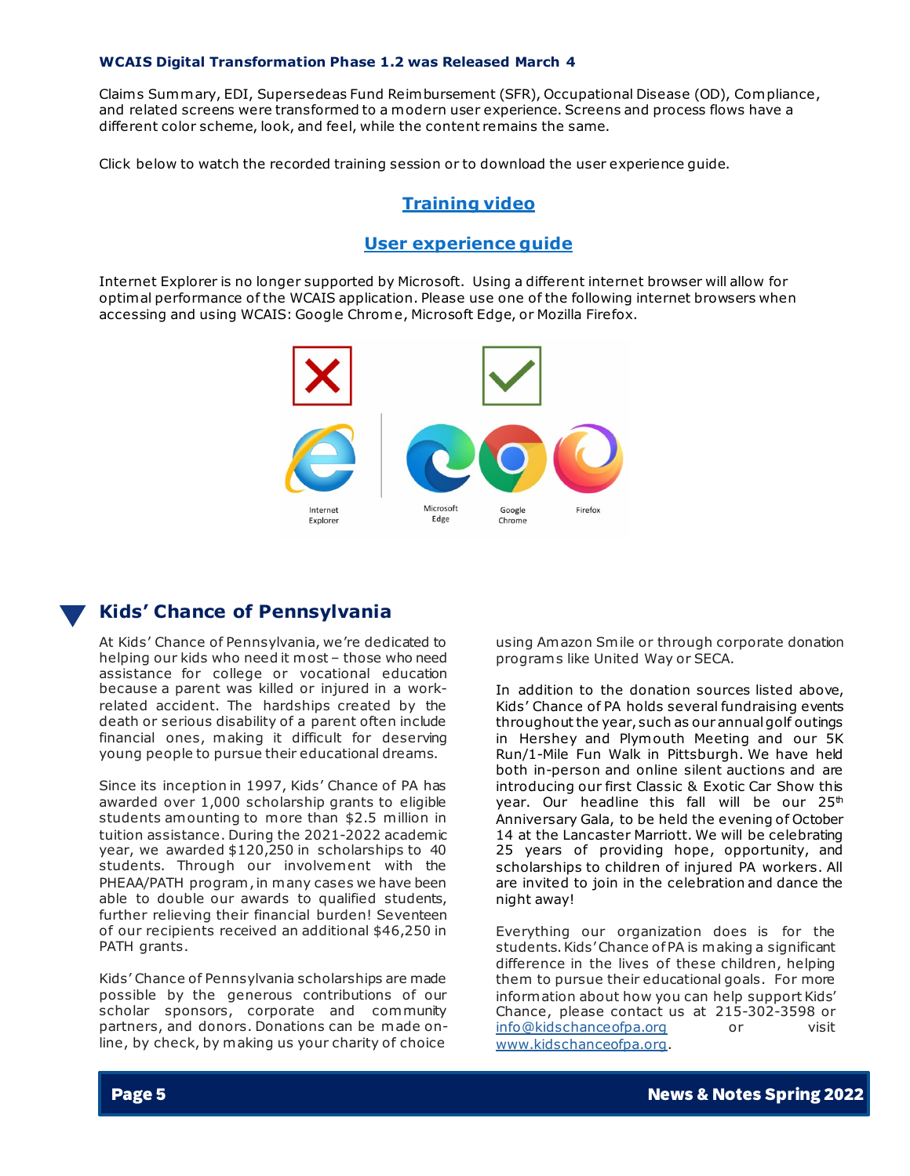#### **WCAIS Digital Transformation Phase 1.2 was Released March 4**

Claim s Summary, EDI, Supersedeas Fund Reimbursement (SFR), Occupational Disease (OD), Compliance, and related screens were transformed to a modern user experience. Screens and process flows have a different color scheme, look, and feel, while the content remains the same.

Click below to watch the recorded training session or to download the user experience guide.

### **Training video**

### **User experience guide**

Internet Explorer is no longer supported by Microsoft. Using a different internet browser will allow for optimal performance of the WCAIS application. Please use one of the following internet browsers when accessing and using WCAIS: Google Chrome, Microsoft Edge, or Mozilla Firefox.



### **Kids' Chance of Pennsylvania**

At Kids' Chance of Pennsylvania, we're dedicated to helping our kids who need it most – those who need assistance for college or vocational education because a parent was killed or injured in a workrelated accident. The hardships created by the death or serious disability of a parent often include financial ones, making it difficult for deserving young people to pursue their educational dreams.

Since its inception in 1997, Kids' Chance of PA has awarded over 1,000 scholarship grants to eligible students amounting to more than \$2.5 million in tuition assistance. During the 2021-2022 academic year, we awarded \$120,250 in scholarships to 40 students. Through our involvement with the PHEAA/PATH program , in many cases we have been able to double our awards to qualified students, further relieving their financial burden! Seventeen of our recipients received an additional \$46,250 in PATH grants.

Kids' Chance of Pennsylvania scholarships are made possible by the generous contributions of our scholar sponsors, corporate and community partners, and donors. Donations can be made online, by check, by making us your charity of choice

using Amazon Smile or through corporate donation program s like United Way or SECA.

In addition to the donation sources listed above, Kids' Chance of PA holds several fundraising events throughout the year, such as our annual golf outings in Hershey and Plymouth Meeting and our 5K Run/1-Mile Fun Walk in Pittsburgh. We have held both in-person and online silent auctions and are introducing our first Classic & Exotic Car Show this year. Our headline this fall will be our 25<sup>th</sup> Anniversary Gala, to be held the evening of October 14 at the Lancaster Marriott. We will be celebrating 25 years of providing hope, opportunity, and scholarships to children of injured PA workers. All are invited to join in the celebration and dance the night away!

Everything our organization does is for the students. Kids' Chance of PA is making a significant difference in the lives of these children, helping them to pursue their educational goals. For more information about how you can help support Kids' Chance, please contact us at 215-302-3598 or [info@kidschanceofpa.org](mailto:info@kidschanceofpa.org) or visit [www.kidschanceofpa.org.](http://www.kidschanceofpa.org/)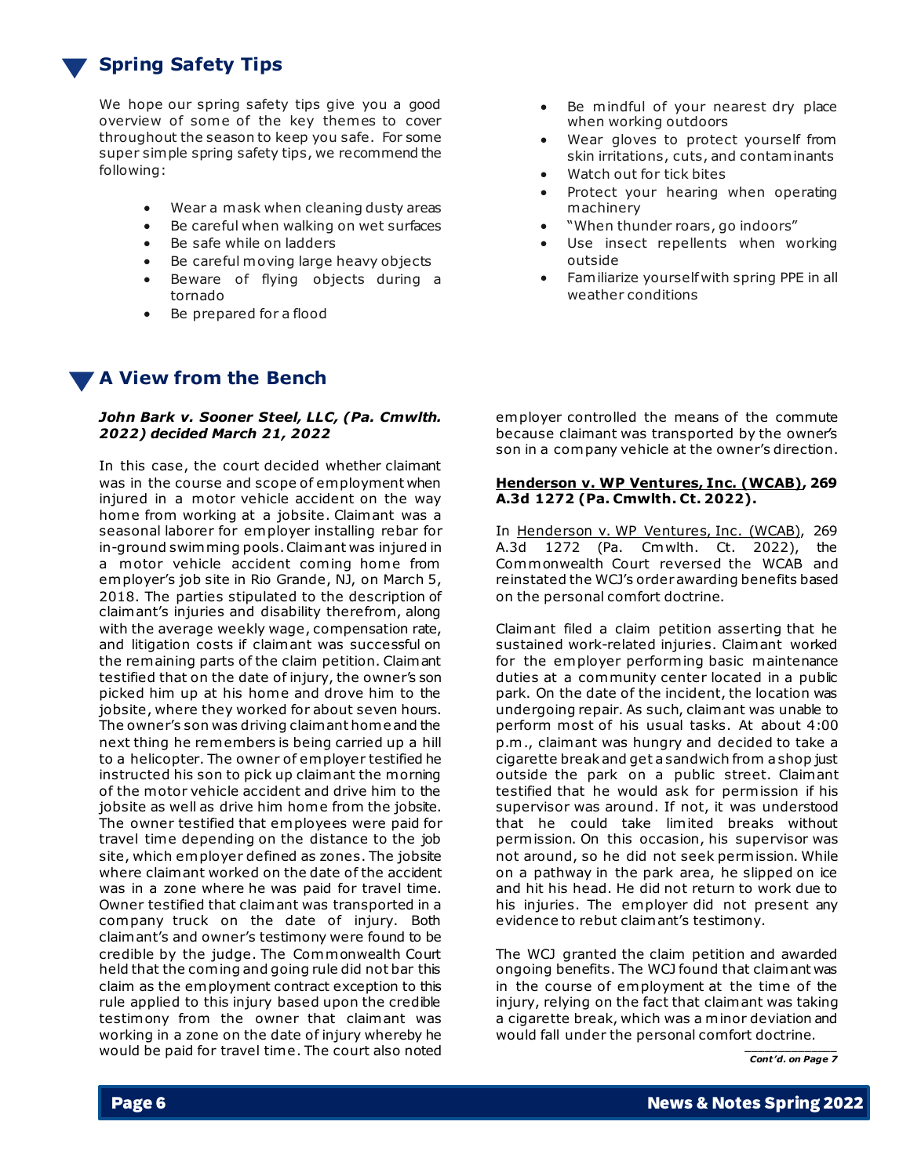# **Spring Safety Tips**

We hope our spring safety tips give you a good overview of some of the key themes to cover throughout the season to keep you safe. For some super simple spring safety tips, we recommend the following:

- Wear a mask when cleaning dusty areas
- Be careful when walking on wet surfaces
- Be safe while on ladders
- Be careful moving large heavy objects
- Beware of flying objects during a tornado
- Be prepared for a flood

# **A View from the Bench**

### *John Bark v. Sooner Steel, LLC, (Pa. Cmwlth. 2022) decided March 21, 2022*

In this case, the court decided whether claimant was in the course and scope of employment when injured in a motor vehicle accident on the way home from working at a jobsite. Claimant was a seasonal laborer for employer installing rebar for in-ground swimming pools. Claimant was injured in a motor vehicle accident coming home from employer's job site in Rio Grande, NJ, on March 5, 2018. The parties stipulated to the description of claimant's injuries and disability therefrom, along with the average weekly wage, compensation rate, and litigation costs if claimant was successful on the remaining parts of the claim petition. Claimant testified that on the date of injury, the owner's son picked him up at his home and drove him to the jobsite, where they worked for about seven hours. The owner's son was driving claimant home and the next thing he remembers is being carried up a hill to a helicopter. The owner of employer testified he instructed his son to pick up claimant the morning of the motor vehicle accident and drive him to the jobsite as well as drive him home from the jobsite. The owner testified that employees were paid for travel time depending on the distance to the job site, which employer defined as zones. The jobsite where claimant worked on the date of the accident was in a zone where he was paid for travel time. Owner testified that claimant was transported in a company truck on the date of injury. Both claimant's and owner's testimony were found to be credible by the judge. The Commonwealth Court held that the coming and going rule did not bar this claim as the employment contract exception to this rule applied to this injury based upon the credible testimony from the owner that claimant was working in a zone on the date of injury whereby he would be paid for travel time. The court also noted

- Be mindful of your nearest dry place when working outdoors
- Wear gloves to protect yourself from skin irritations, cuts, and contaminants
- Watch out for tick bites
- Protect your hearing when operating machinery
- "When thunder roars, go indoors"
- Use insect repellents when working outside
- Familiarize yourself with spring PPE in all weather conditions

employer controlled the means of the commute because claimant was transported by the owner's son in a company vehicle at the owner's direction.

### **Henderson v. WP Ventures, Inc. (WCAB), 269 A.3d 1272 (Pa. Cmwlth. Ct. 2022).**

In Henderson v. WP Ventures, Inc. (WCAB), 269 A.3d 1272 (Pa. Cmwlth. Ct. 2022), the Commonwealth Court reversed the WCAB and reinstated the WCJ's order awarding benefits based on the personal comfort doctrine.

Claimant filed a claim petition asserting that he sustained work-related injuries. Claimant worked for the employer performing basic maintenance duties at a community center located in a public park. On the date of the incident, the location was undergoing repair. As such, claimant was unable to perform most of his usual tasks. At about 4:00 p.m ., claimant was hungry and decided to take a cigarette break and get a sandwich from a shop just outside the park on a public street. Claimant testified that he would ask for permission if his supervisor was around. If not, it was understood that he could take limited breaks without permission. On this occasion, his supervisor was not around, so he did not seek permission. While on a pathway in the park area, he slipped on ice and hit his head. He did not return to work due to his injuries. The employer did not present any evidence to rebut claimant's testimony.

The WCJ granted the claim petition and awarded ongoing benefits. The WCJ found that claimant was in the course of employment at the time of the injury, relying on the fact that claimant was taking a cigarette break, which was a minor deviation and would fall under the personal comfort doctrine.

*\_\_\_\_\_\_\_\_\_\_\_\_\_\_ Cont'd. on Page 7*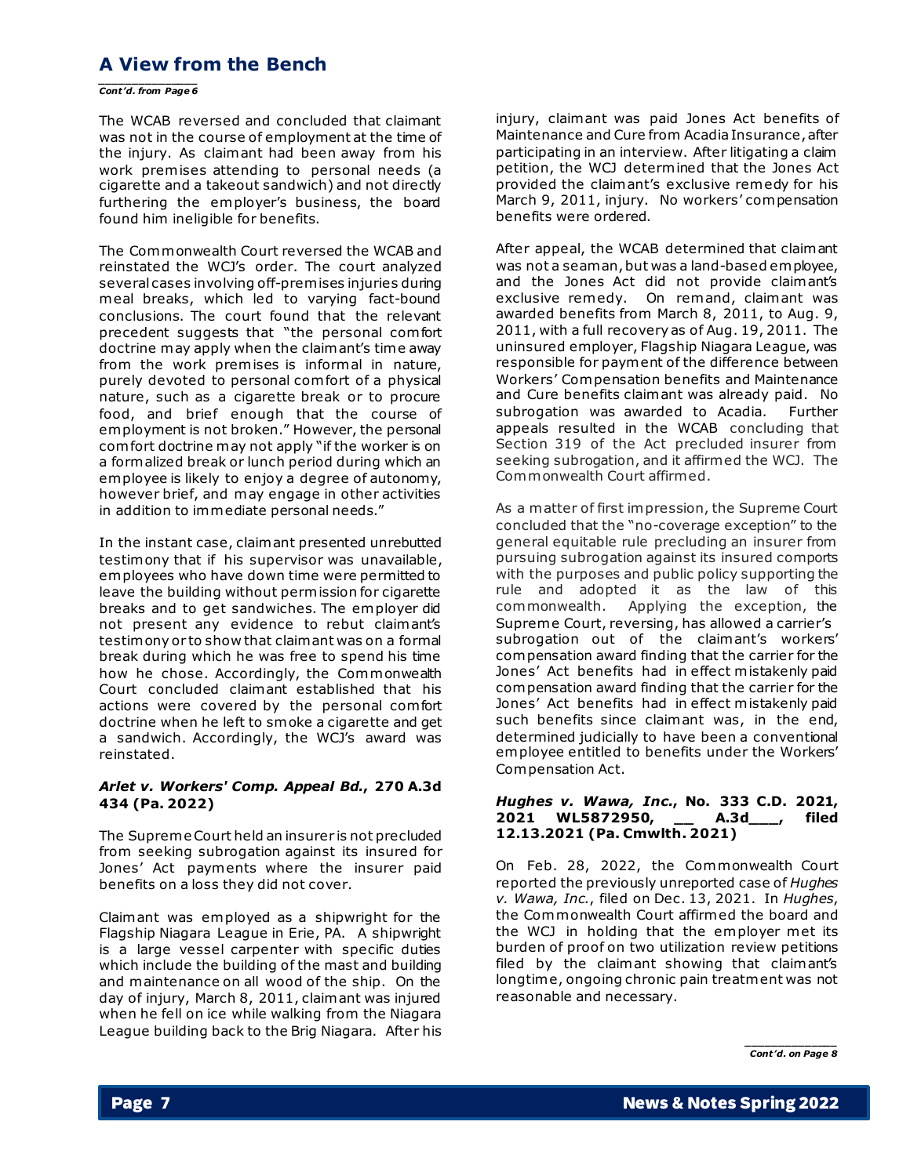# **A View from the Bench**

*\_\_\_\_\_\_\_\_\_\_\_\_\_\_\_ Cont'd. from Page 6*

The WCAB reversed and concluded that claimant was not in the course of employment at the time of the injury. As claimant had been away from his work premises attending to personal needs (a cigarette and a takeout sandwich) and not directly furthering the employer's business, the board found him ineligible for benefits.

The Commonwealth Court reversed the WCAB and reinstated the WCJ's order. The court analyzed several cases involving off-premises injuries during meal breaks, which led to varying fact-bound conclusions. The court found that the relevant precedent suggests that "the personal com fort doctrine may apply when the claimant's time away from the work premises is informal in nature, purely devoted to personal com fort of a physical nature, such as a cigarette break or to procure food, and brief enough that the course of employment is not broken." However, the personal com fort doctrine may not apply "if the worker is on a formalized break or lunch period during which an employee is likely to enjoy a degree of autonomy, however brief, and may engage in other activities in addition to immediate personal needs."

In the instant case, claimant presented unrebutted testimony that if his supervisor was unavailable, employees who have down time were permitted to leave the building without permission for cigarette breaks and to get sandwiches. The employer did not present any evidence to rebut claimant's testimony or to show that claimant was on a formal break during which he was free to spend his time how he chose. Accordingly, the Commonwealth Court concluded claimant established that his actions were covered by the personal com fort doctrine when he left to smoke a cigarette and get a sandwich. Accordingly, the WCJ's award was reinstated.

### *Arlet v. Workers' Comp. Appeal Bd.***, 270 A.3d 434 (Pa. 2022)**

The Supreme Court held an insurer is not precluded from seeking subrogation against its insured for Jones' Act payments where the insurer paid benefits on a loss they did not cover.

Claimant was employed as a shipwright for the Flagship Niagara League in Erie, PA. A shipwright is a large vessel carpenter with specific duties which include the building of the mast and building and maintenance on all wood of the ship. On the day of injury, March 8, 2011, claimant was injured when he fell on ice while walking from the Niagara League building back to the Brig Niagara. After his

injury, claimant was paid Jones Act benefits of Maintenance and Cure from Acadia Insurance, after participating in an interview. After litigating a claim petition, the WCJ determined that the Jones Act provided the claimant's exclusive remedy for his March 9, 2011, injury. No workers' compensation benefits were ordered.

After appeal, the WCAB determined that claimant was not a seaman, but was a land-based employee, and the Jones Act did not provide claimant's exclusive remedy. On remand, claimant was awarded benefits from March 8, 2011, to Aug. 9, 2011, with a full recovery as of Aug. 19, 2011. The uninsured employer, Flagship Niagara League, was responsible for payment of the difference between Workers' Compensation benefits and Maintenance and Cure benefits claimant was already paid. No subrogation was awarded to Acadia. Further appeals resulted in the WCAB concluding that Section 319 of the Act precluded insurer from seeking subrogation, and it affirmed the WCJ. The Commonwealth Court affirmed.

As a matter of first impression, the Supreme Court concluded that the "no-coverage exception" to the general equitable rule precluding an insurer from pursuing subrogation against its insured comports with the purposes and public policy supporting the rule and adopted it as the law of this commonwealth. Applying the exception, the Supreme Court, reversing, has allowed a carrier's subrogation out of the claimant's workers' compensation award finding that the carrier for the Jones' Act benefits had in effect mistakenly paid compensation award finding that the carrier for the Jones' Act benefits had in effect mistakenly paid such benefits since claimant was, in the end, determined judicially to have been a conventional employee entitled to benefits under the Workers' Compensation Act.

### *Hughes v. Wawa, Inc.***, No. 333 C.D. 2021, 2021 WL5872950, \_\_ A.3d\_\_\_, filed 12.13.2021 (Pa. Cmwlth. 2021)**

On Feb. 28, 2022, the Commonwealth Court reported the previously unreported case of *Hughes v. Wawa, Inc.*, filed on Dec. 13, 2021. In *Hughes*, the Commonwealth Court affirmed the board and the WCJ in holding that the employer met its burden of proof on two utilization review petitions filed by the claimant showing that claimant's longtime, ongoing chronic pain treatment was not reasonable and necessary.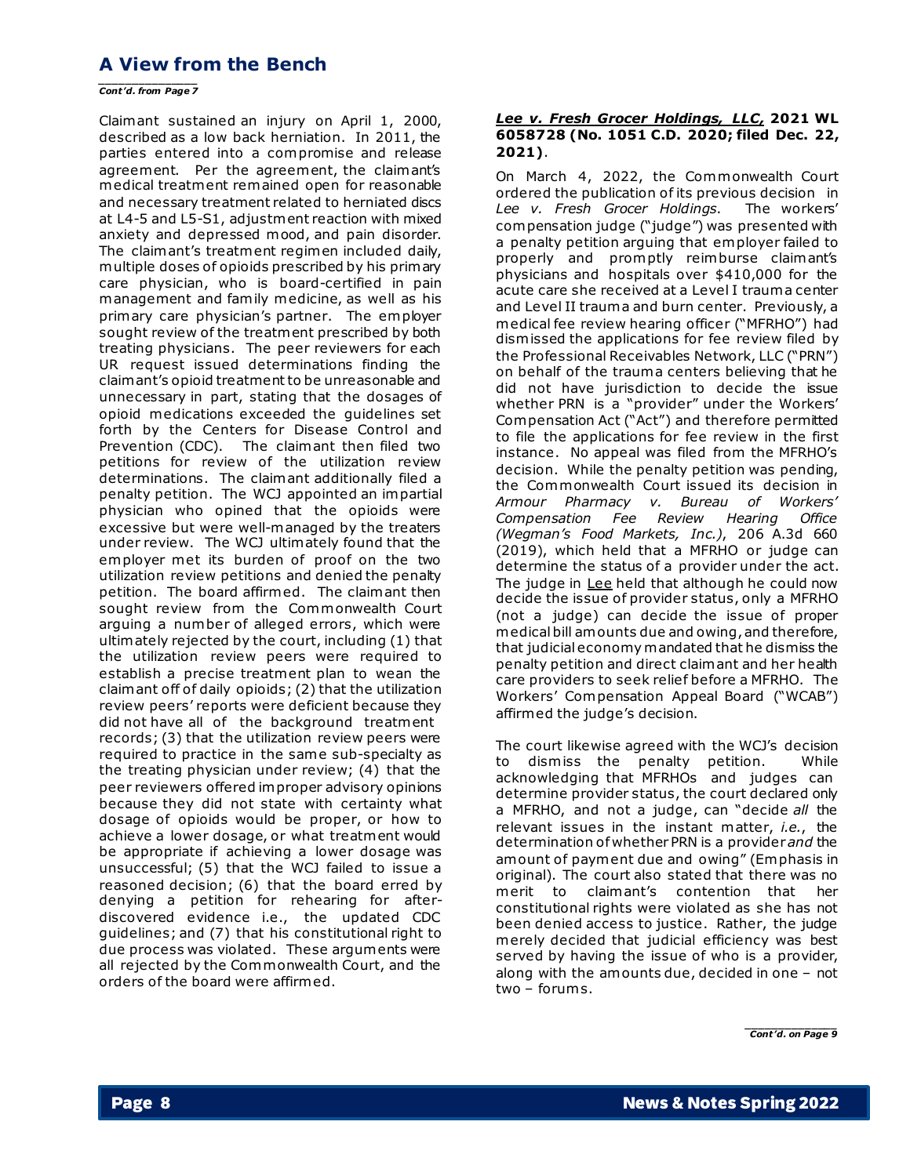## **A View from the Bench**

*\_\_\_\_\_\_\_\_\_\_\_\_\_\_\_ Cont'd. from Page 7*

Claimant sustained an injury on April 1, 2000, described as a low back herniation. In 2011, the parties entered into a compromise and release agreement. Per the agreement, the claimant's medical treatment remained open for reasonable and necessary treatment related to herniated discs at L4-5 and L5-S1, adjustment reaction with mixed anxiety and depressed mood, and pain disorder. The claimant's treatment regimen included daily, multiple doses of opioids prescribed by his primary care physician, who is board-certified in pain management and family medicine, as well as his primary care physician's partner. The employer sought review of the treatment prescribed by both treating physicians. The peer reviewers for each UR request issued determinations finding the claimant's opioid treatment to be unreasonable and unnecessary in part, stating that the dosages of opioid medications exceeded the guidelines set forth by the Centers for Disease Control and Prevention (CDC). The claimant then filed two petitions for review of the utilization review determinations. The claimant additionally filed a penalty petition. The WCJ appointed an impartial physician who opined that the opioids were excessive but were well-managed by the treaters under review. The WCJ ultimately found that the employer met its burden of proof on the two utilization review petitions and denied the penalty petition. The board affirmed. The claimant then sought review from the Commonwealth Court arguing a number of alleged errors, which were ultimately rejected by the court, including (1) that the utilization review peers were required to establish a precise treatment plan to wean the claimant off of daily opioids; (2) that the utilization review peers' reports were deficient because they did not have all of the background treatment records; (3) that the utilization review peers were required to practice in the same sub-specialty as the treating physician under review; (4) that the peer reviewers offered improper advisory opinions because they did not state with certainty what dosage of opioids would be proper, or how to achieve a lower dosage, or what treatment would be appropriate if achieving a lower dosage was unsuccessful; (5) that the WCJ failed to issue a reasoned decision; (6) that the board erred by denying a petition for rehearing for afterdiscovered evidence i.e., the updated CDC guidelines; and (7) that his constitutional right to due process was violated. These arguments were all rejected by the Commonwealth Court, and the orders of the board were affirmed.

### *Lee v. Fresh Grocer Holdings, LLC,* **2021 WL 6058728 (No. 1051 C.D. 2020; filed Dec. 22, 2021)**.

On March 4, 2022, the Commonwealth Court ordered the publication of its previous decision in *Lee v. Fresh Grocer Holdings*. The workers' compensation judge ("judge") was presented with a penalty petition arguing that employer failed to properly and promptly reimburse claimant's physicians and hospitals over \$410,000 for the acute care she received at a Level I trauma center and Level II trauma and burn center. Previously, a medical fee review hearing officer ("MFRHO") had dismissed the applications for fee review filed by the Professional Receivables Network, LLC ("PRN") on behalf of the trauma centers believing that he did not have jurisdiction to decide the issue whether PRN is a "provider" under the Workers' Compensation Act ("Act") and therefore permitted to file the applications for fee review in the first instance. No appeal was filed from the MFRHO's decision. While the penalty petition was pending, the Commonwealth Court issued its decision in *Armour Pharmacy v. Bureau of Workers' Compensation Fee Review Hearing Office (Wegman's Food Markets, Inc.)*, 206 A.3d 660 (2019), which held that a MFRHO or judge can determine the status of a provider under the act. The judge in Lee held that although he could now decide the issue of provider status, only a MFRHO (not a judge) can decide the issue of proper medical bill amounts due and owing, and therefore, that judicial economy mandated that he dismiss the penalty petition and direct claimant and her health care providers to seek relief before a MFRHO. The Workers' Compensation Appeal Board ("WCAB") affirmed the judge's decision.

The court likewise agreed with the WCJ's decision to dismiss the penalty petition. While acknowledging that MFRHOs and judges can determine provider status, the court declared only a MFRHO, and not a judge, can "decide *all* the relevant issues in the instant matter, *i.e.*, the determination of whether PRN is a provider *and* the amount of payment due and owing" (Emphasis in original). The court also stated that there was no merit to claimant's contention that her constitutional rights were violated as she has not been denied access to justice. Rather, the judge merely decided that judicial efficiency was best served by having the issue of who is a provider, along with the amounts due, decided in one – not two – forums.

*\_\_\_\_\_\_\_\_\_\_\_\_\_\_ Cont'd. on Page 9*